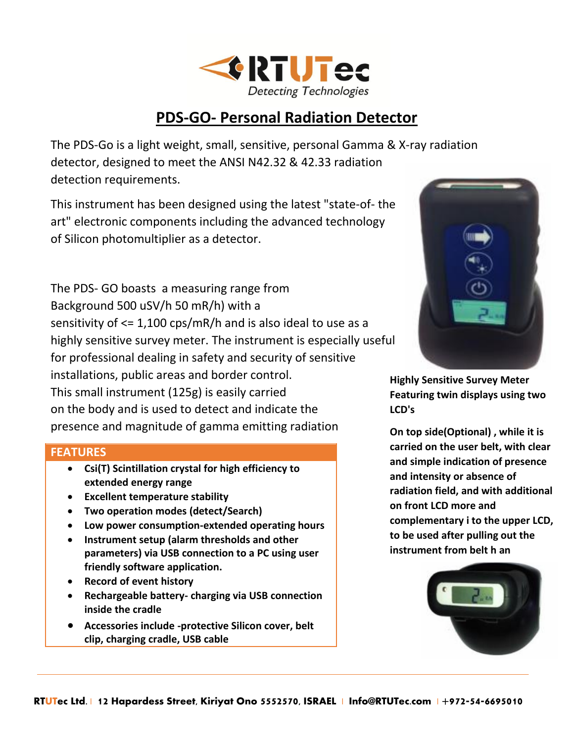

## **PDS-GO- Personal Radiation Detector**

The PDS-Go is a light weight, small, sensitive, personal Gamma & X-ray radiation detector, designed to meet the ANSI N42.32 & 42.33 radiation detection requirements.

This instrument has been designed using the latest "state-of- the art" electronic components including the advanced technology of Silicon photomultiplier as a detector.

The PDS- GO boasts a measuring range from Background 500 uSV/h 50 mR/h) with a sensitivity of <= 1,100 cps/mR/h and is also ideal to use as a highly sensitive survey meter. The instrument is especially useful for professional dealing in safety and security of sensitive installations, public areas and border control. This small instrument (125g) is easily carried on the body and is used to detect and indicate the presence and magnitude of gamma emitting radiation

#### **FEATURES**

- **Csi(T) Scintillation crystal for high efficiency to extended energy range**
- **Excellent temperature stability**
- **Two operation modes (detect/Search)**
- **Low power consumption-extended operating hours**
- **Instrument setup (alarm thresholds and other parameters) via USB connection to a PC using user friendly software application.**
- **•** Record of event history
- **Rechargeable battery- charging via USB connection inside the cradle**
- **Accessories include -protective Silicon cover, belt clip, charging cradle, USB cable**



**Highly Sensitive Survey Meter Featuring twin displays using two LCD's**

**On top side(Optional) , while it is carried on the user belt, with clear and simple indication of presence and intensity or absence of radiation field, and with additional on front LCD more and complementary i to the upper LCD, to be used after pulling out the instrument from belt h an**